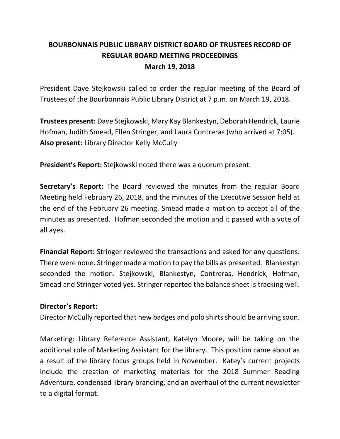# **BOURBONNAIS PUBLIC LIBRARY DISTRICT BOARD OF TRUSTEES RECORD OF REGULAR BOARD MEETING PROCEEDINGS March 19, 2018**

President Dave Stejkowski called to order the regular meeting of the Board of Trustees of the Bourbonnais Public Library District at 7 p.m. on March 19, 2018.

**Trustees present:** Dave Stejkowski, Mary Kay Blankestyn, Deborah Hendrick, Laurie Hofman, Judith Smead, Ellen Stringer, and Laura Contreras (who arrived at 7:05). **Also present:** Library Director Kelly McCully

**President's Report:** Stejkowski noted there was a quorum present.

**Secretary's Report:** The Board reviewed the minutes from the regular Board Meeting held February 26, 2018, and the minutes of the Executive Session held at the end of the February 26 meeting. Smead made a motion to accept all of the minutes as presented. Hofman seconded the motion and it passed with a vote of all ayes.

**Financial Report:** Stringer reviewed the transactions and asked for any questions. There were none. Stringer made a motion to pay the bills as presented. Blankestyn seconded the motion. Stejkowski, Blankestyn, Contreras, Hendrick, Hofman, Smead and Stringer voted yes. Stringer reported the balance sheet is tracking well.

### **Director's Report:**

Director McCully reported that new badges and polo shirts should be arriving soon.

Marketing: Library Reference Assistant, Katelyn Moore, will be taking on the additional role of Marketing Assistant for the library. This position came about as a result of the library focus groups held in November. Katey's current projects include the creation of marketing materials for the 2018 Summer Reading Adventure, condensed library branding, and an overhaul of the current newsletter to a digital format.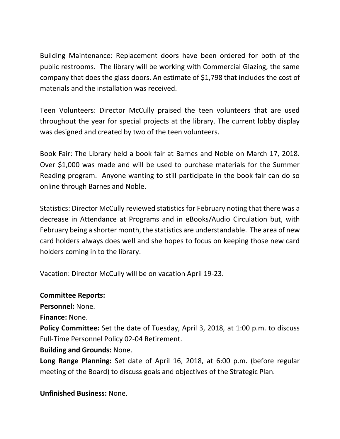Building Maintenance: Replacement doors have been ordered for both of the public restrooms. The library will be working with Commercial Glazing, the same company that does the glass doors. An estimate of \$1,798 that includes the cost of materials and the installation was received.

Teen Volunteers: Director McCully praised the teen volunteers that are used throughout the year for special projects at the library. The current lobby display was designed and created by two of the teen volunteers.

Book Fair: The Library held a book fair at Barnes and Noble on March 17, 2018. Over \$1,000 was made and will be used to purchase materials for the Summer Reading program. Anyone wanting to still participate in the book fair can do so online through Barnes and Noble.

Statistics: Director McCully reviewed statistics for February noting that there was a decrease in Attendance at Programs and in eBooks/Audio Circulation but, with February being a shorter month, the statistics are understandable. The area of new card holders always does well and she hopes to focus on keeping those new card holders coming in to the library.

Vacation: Director McCully will be on vacation April 19-23.

### **Committee Reports:**

**Personnel:** None.

**Finance:** None.

**Policy Committee:** Set the date of Tuesday, April 3, 2018, at 1:00 p.m. to discuss Full-Time Personnel Policy 02-04 Retirement.

## **Building and Grounds:** None.

**Long Range Planning:** Set date of April 16, 2018, at 6:00 p.m. (before regular meeting of the Board) to discuss goals and objectives of the Strategic Plan.

**Unfinished Business:** None.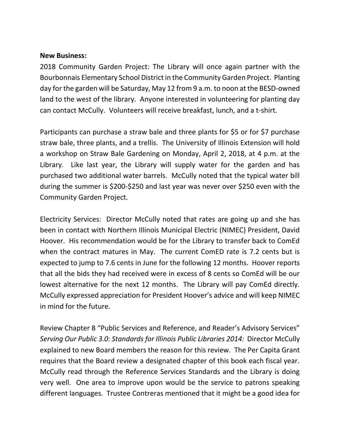#### **New Business:**

2018 Community Garden Project: The Library will once again partner with the Bourbonnais Elementary School District in the Community Garden Project. Planting day for the garden will be Saturday, May 12 from 9 a.m. to noon at the BESD-owned land to the west of the library. Anyone interested in volunteering for planting day can contact McCully. Volunteers will receive breakfast, lunch, and a t-shirt.

Participants can purchase a straw bale and three plants for \$5 or for \$7 purchase straw bale, three plants, and a trellis. The University of Illinois Extension will hold a workshop on Straw Bale Gardening on Monday, April 2, 2018, at 4 p.m. at the Library. Like last year, the Library will supply water for the garden and has purchased two additional water barrels. McCully noted that the typical water bill during the summer is \$200-\$250 and last year was never over \$250 even with the Community Garden Project.

Electricity Services: Director McCully noted that rates are going up and she has been in contact with Northern Illinois Municipal Electric (NIMEC) President, David Hoover. His recommendation would be for the Library to transfer back to ComEd when the contract matures in May. The current ComED rate is 7.2 cents but is expected to jump to 7.6 cents in June for the following 12 months. Hoover reports that all the bids they had received were in excess of 8 cents so ComEd will be our lowest alternative for the next 12 months. The Library will pay ComEd directly. McCully expressed appreciation for President Hoover's advice and will keep NIMEC in mind for the future.

Review Chapter 8 "Public Services and Reference, and Reader's Advisory Services" *Serving Our Public 3.0: Standards for Illinois Public Libraries 2014:* Director McCully explained to new Board members the reason for this review. The Per Capita Grant requires that the Board review a designated chapter of this book each fiscal year. McCully read through the Reference Services Standards and the Library is doing very well. One area to improve upon would be the service to patrons speaking different languages. Trustee Contreras mentioned that it might be a good idea for